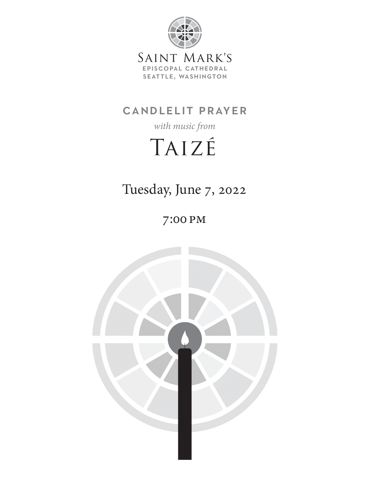

# candlelit prayer

*with music from*

# Taizé

Tuesday, June 7, 2022

7:00 pm

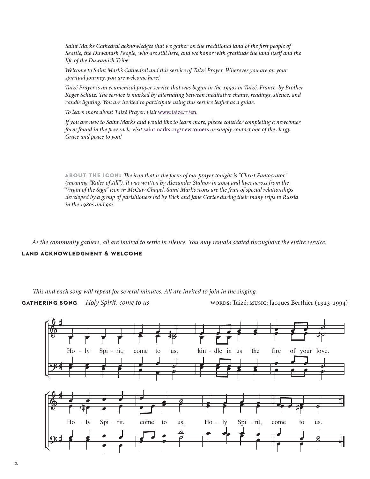*Saint Mark's Cathedral acknowledges that we gather on the traditional land of the first people of Seattle, the Duwamish People, who are still here, and we honor with gratitude the land itself and the life of the Duwamish Tribe.*

*Welcome to Saint Mark's Cathedral and this service of Taizé Prayer. Wherever you are on your spiritual journey, you are welcome here!*

*Taizé Prayer is an ecumenical prayer service that was begun in the 1950s in Taizé, France, by Brother Roger Schütz. The service is marked by alternating between meditative chants, readings, silence, and candle lighting. You are invited to participate using this service leaflet as a guide.*

*To learn more about Taizé Prayer, visit* www.taize.fr/en*.*

*If you are new to Saint Mark's and would like to learn more, please consider completing a newcomer form found in the pew rack, visit* saintmarks.org/newcomers *or simply contact one of the clergy. Grace and peace to you!*

**about the icon:** *The icon that is the focus of our prayer tonight is "Christ Pantocrator" (meaning "Ruler of All"). It was written by Alexander Stalnov in 2004 and lives across from the "Virgin of the Sign" icon in McCaw Chapel. Saint Mark's icons are the fruit of special relationships developed by a group of parishioners led by Dick and Jane Carter during their many trips to Russia in the 1980s and 90s.*

*As the community gathers, all are invited to settle in silence. You may remain seated throughout the entire service.* **land acknowledgment & welcome**

#### *This and each song will repeat for several minutes. All are invited to join in the singing.*

**GATHERING SONG** Holy Spirit, come to us words: Taizé; music: Jacques Berthier (1923-1994)

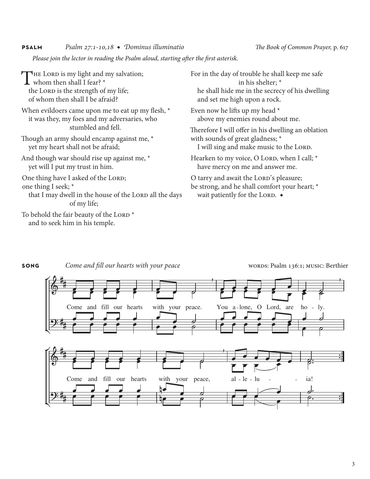### **psalm** *Psalm 27:1-10,18* ◆ *Dominus illuminatio The Book of Common Prayer,* p. 617

*Please join the lector in reading the Psalm aloud, starting after the first asterisk.*

The Lord is my light and my salvation; whom then shall I fear? \* the LORD is the strength of my life; of whom then shall I be afraid? When evildoers came upon me to eat up my flesh, \* it was they, my foes and my adversaries, who stumbled and fell. Though an army should encamp against me, \* yet my heart shall not be afraid; And though war should rise up against me, \* yet will I put my trust in him. One thing have I asked of the LORD; one thing I seek; \* that I may dwell in the house of the LORD all the days of my life; To behold the fair beauty of the LORD<sup>\*</sup> and to seek him in his temple.

For in the day of trouble he shall keep me safe in his shelter; \* he shall hide me in the secrecy of his dwelling and set me high upon a rock.

Even now he lifts up my head \* above my enemies round about me.

Therefore I will offer in his dwelling an oblation with sounds of great gladness; \* I will sing and make music to the LORD.

Hearken to my voice, O LORD, when I call;  $*$ have mercy on me and answer me.

O tarry and await the LORD's pleasure; be strong, and he shall comfort your heart; \* wait patiently for the LORD.  $\bullet$ 



**song** Come and fill our hearts with your peace words: Psalm 136:1; MUSIC: Berthier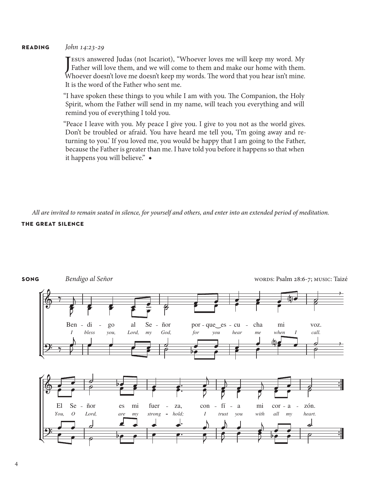#### **reading** *John 14:23-29*

J [ESUS answered Judas (not Iscariot), "Whoever loves me will keep my word. My Father will love them, and we will come to them and make our home with them. Whoever doesn't love me doesn't keep my words. The word that you hear isn't mine. It is the word of the Father who sent me.

"I have spoken these things to you while I am with you. The Companion, the Holy Spirit, whom the Father will send in my name, will teach you everything and will remind you of everything I told you.

"Peace I leave with you. My peace I give you. I give to you not as the world gives. Don't be troubled or afraid. You have heard me tell you, 'I'm going away and returning to you.' If you loved me, you would be happy that I am going to the Father, because the Father is greater than me. I have told you before it happens so that when it happens you will believe." ◆

*All are invited to remain seated in silence, for yourself and others, and enter into an extended period of meditation.*  **the great silence**

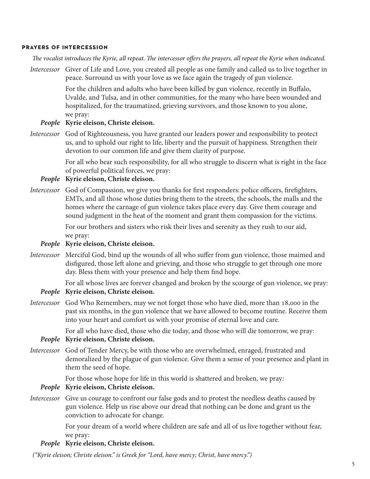#### **prayers of intercession**

*The vocalist introduces the Kyrie, all repeat. The intercessor offers the prayers, all repeat the Kyrie when indicated.* 

*Intercessor* Giver of Life and Love, you created all people as one family and called us to live together in peace. Surround us with your love as we face again the tragedy of gun violence.

> For the children and adults who have been killed by gun violence, recently in Buffalo, Uvalde, and Tulsa, and in other communities, for the many who have been wounded and hospitalized, for the traumatized, grieving survivors, and those known to you alone, we pray:

### *People* **Kyrie eleison, Christe eleison.**

*Intercessor* God of Righteousness, you have granted our leaders power and responsibility to protect us, and to uphold our right to life, liberty and the pursuit of happiness. Strengthen their devotion to our common life and give them clarity of purpose.

> For all who bear such responsibility, for all who struggle to discern what is right in the face of powerful political forces, we pray:

## *People* **Kyrie eleison, Christe eleison.**

*Intercessor* God of Compassion, we give you thanks for first responders: police officers, firefighters, EMTs, and all those whose duties bring them to the streets, the schools, the malls and the homes where the carnage of gun violence takes place every day. Give them courage and sound judgment in the heat of the moment and grant them compassion for the victims.

> For our brothers and sisters who risk their lives and serenity as they rush to our aid, we pray:

## *People* **Kyrie eleison, Christe eleison.**

*Intercessor* Merciful God, bind up the wounds of all who suffer from gun violence, those maimed and disfigured, those left alone and grieving, and those who struggle to get through one more day. Bless them with your presence and help them find hope.

For all whose lives are forever changed and broken by the scourge of gun violence, we pray:

# *People* **Kyrie eleison, Christe eleison.**

*Intercessor* God Who Remembers, may we not forget those who have died, more than 18,000 in the past six months, in the gun violence that we have allowed to become routine. Receive them into your heart and comfort us with your promise of eternal love and care.

For all who have died, those who die today, and those who will die tomorrow, we pray:

### *People* **Kyrie eleison, Christe eleison.**

*Intercessor* God of Tender Mercy, be with those who are overwhelmed, enraged, frustrated and demoralized by the plague of gun violence. Give them a sense of your presence and plant in them the seed of hope.

For those whose hope for life in this world is shattered and broken, we pray:

#### *People* **Kyrie eleison, Christe eleison.**

*Intercessor* Give us courage to confront our false gods and to protest the needless deaths caused by gun violence. Help us rise above our dread that nothing can be done and grant us the conviction to advocate for change.

> For your dream of a world where children are safe and all of us live together without fear, we pray:

### *People* **Kyrie eleison, Christe eleison.**

*("Kyrie eleison; Christe eleison." is Greek for "Lord, have mercy; Christ, have mercy.")*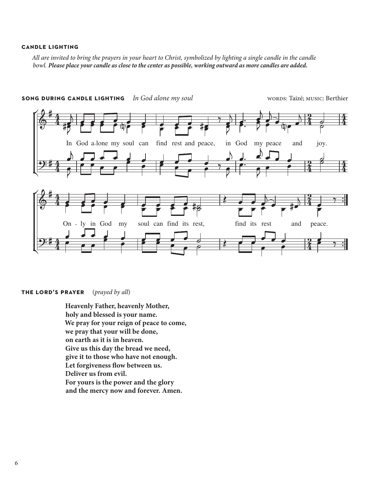#### **candle lighting**

All are invited to bring the prayers in your heart to Christ, symbolized by lighting a single candle in the candle *bowl. Please place your candle as close to the center as possible, working outward as more candles are added.* 



**song during candle lighting** *In God alone my soul* words: Taizé; music: Berthier

#### **the lord's prayer** (*prayed by all*)

**Heavenly Father, heavenly Mother, holy and blessed is your name. We pray for your reign of peace to come, we pray that your will be done, on earth as it is in heaven. Give us this day the bread we need, give it to those who have not enough. Let forgiveness flow between us. Deliver us from evil. For yours is the power and the glory and the mercy now and forever. Amen.**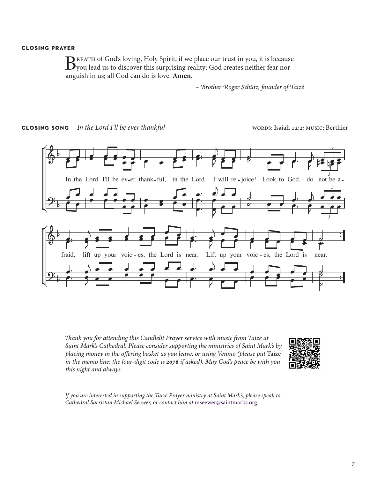#### **closing prayer**

BREATH of God's loving, Holy Spirit, if we place our trust in you, it is because<br>Dyou lead us to discover this surprising reality: God creates neither fear nor anguish in us; all God can do is love. **Amen.**

*– Brother Roger Schütz, founder of Taizé*

**CLOSING SONG** In the Lord I'll be ever thankful words: Isaiah 12:2; MUSIC: Berthier



*Thank you for attending this Candlelit Prayer service with music from Taizé at Saint Mark's Cathedral. Please consider supporting the ministries of Saint Mark's by placing money in the offering basket as you leave, or using Venmo (please put* Taize *in the memo line; the four-digit code is 2076 if asked). May God's peace be with you this night and always.*



*If you are interested in supporting the Taizé Prayer ministry at Saint Mark's, please speak to Cathedral Sacristan Michael Seewer, or contact him at* [mseewer@saintmarks.org](mailto:mseewer%40saintmarks.org?subject=Taize%20Prayer%20at%20Saint%20Mark%27s)*.*